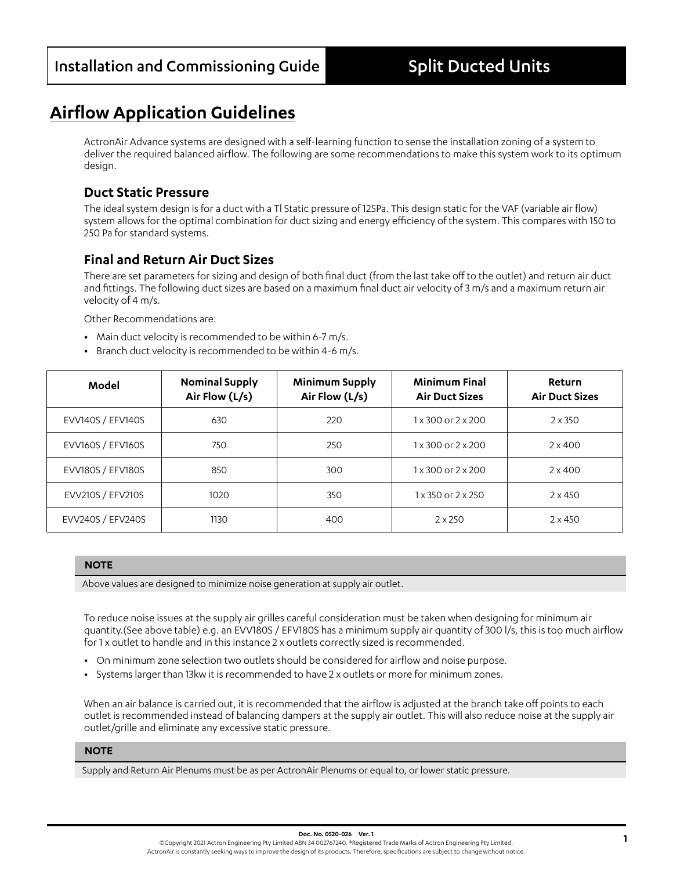# **Airflow Application Guidelines**

ActronAir Advance systems are designed with a self-learning function to sense the installation zoning of a system to deliver the required balanced airflow. The following are some recommendations to make this system work to its optimum design.

## **Duct Static Pressure**

The ideal system design is for a duct with a Tl Static pressure of 125Pa. This design static for the VAF (variable air flow) system allows for the optimal combination for duct sizing and energy efficiency of the system. This compares with 150 to 250 Pa for standard systems.

## **Final and Return Air Duct Sizes**

There are set parameters for sizing and design of both final duct (from the last take off to the outlet) and return air duct and fittings. The following duct sizes are based on a maximum final duct air velocity of 3 m/s and a maximum return air velocity of 4 m/s.

Other Recommendations are:

- **•** Main duct velocity is recommended to be within 6-7 m/s.
- **•** Branch duct velocity is recommended to be within 4-6 m/s.

| Model             | <b>Nominal Supply</b><br>Air Flow (L/s) | <b>Minimum Supply</b><br>Air Flow (L/s) | <b>Minimum Final</b><br><b>Air Duct Sizes</b> | <b>Return</b><br><b>Air Duct Sizes</b> |
|-------------------|-----------------------------------------|-----------------------------------------|-----------------------------------------------|----------------------------------------|
| EVV140S / EFV140S | 630                                     | 220                                     | $1 \times 300$ or $2 \times 200$              | $2 \times 350$                         |
| EVV160S / EFV160S | 750                                     | 250                                     | $1 \times 300$ or $2 \times 200$              | $2 \times 400$                         |
| EVV180S / EFV180S | 850                                     | 300                                     | $1 \times 300$ or $2 \times 200$              | $2 \times 400$                         |
| EVV210S / EFV210S | 1020                                    | 350                                     | $1 \times 350$ or $2 \times 250$              | $2 \times 450$                         |
| EVV240S / EFV240S | 1130                                    | 400                                     | $2 \times 250$                                | $2 \times 450$                         |

#### **NOTE**

Above values are designed to minimize noise generation at supply air outlet.

To reduce noise issues at the supply air grilles careful consideration must be taken when designing for minimum air quantity.(See above table) e.g. an EVV180S / EFV180S has a minimum supply air quantity of 300 l/s, this is too much airflow for 1 x outlet to handle and in this instance 2 x outlets correctly sized is recommended.

- **•** On minimum zone selection two outlets should be considered for airflow and noise purpose.
- **•** Systems larger than 13kw it is recommended to have 2 x outlets or more for minimum zones.

When an air balance is carried out, it is recommended that the airflow is adjusted at the branch take off points to each outlet is recommended instead of balancing dampers at the supply air outlet. This will also reduce noise at the supply air outlet/grille and eliminate any excessive static pressure.

### **NOTE**

Supply and Return Air Plenums must be as per ActronAir Plenums or equal to, or lower static pressure.